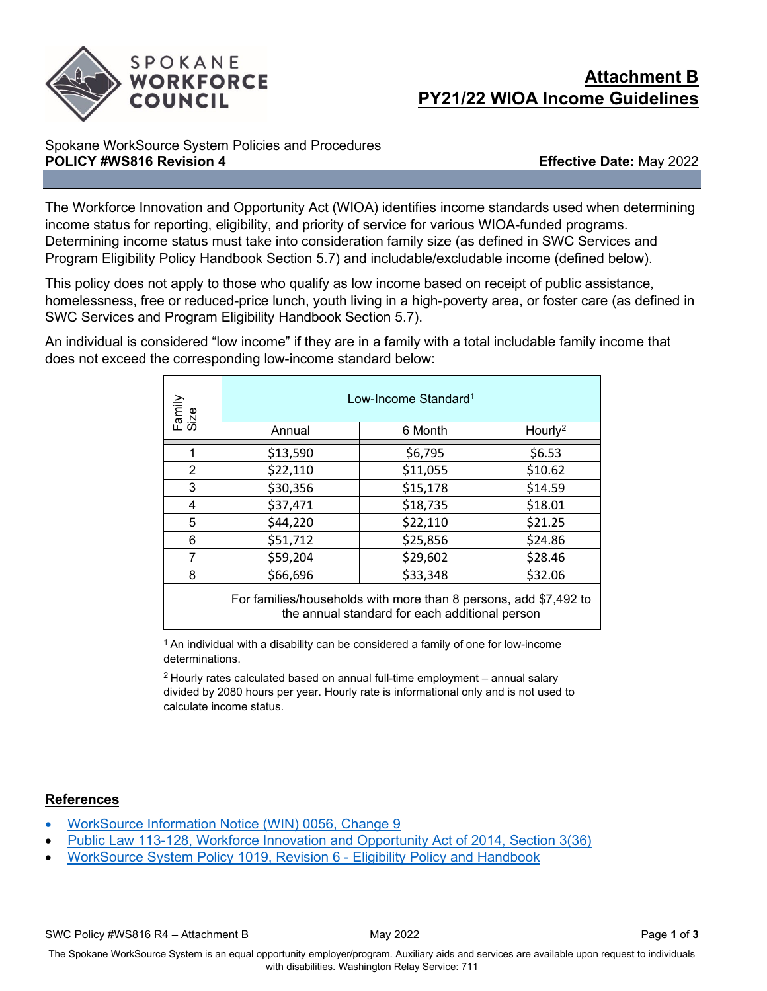

## **Attachment B PY21/22 WIOA Income Guidelines**

## Spokane WorkSource System Policies and Procedures **POLICY #WS816 Revision 4 And Effective Date:** May 2022

The Workforce Innovation and Opportunity Act (WIOA) identifies income standards used when determining income status for reporting, eligibility, and priority of service for various WIOA-funded programs. Determining income status must take into consideration family size (as defined in SWC Services and Program Eligibility Policy Handbook Section 5.7) and includable/excludable income (defined below).

This policy does not apply to those who qualify as low income based on receipt of public assistance, homelessness, free or reduced-price lunch, youth living in a high-poverty area, or foster care (as defined in SWC Services and Program Eligibility Handbook Section 5.7).

An individual is considered "low income" if they are in a family with a total includable family income that does not exceed the corresponding low-income standard below:

| Family<br>Size | Low-Income Standard <sup>1</sup> |                                                                                                                    |                     |
|----------------|----------------------------------|--------------------------------------------------------------------------------------------------------------------|---------------------|
|                | Annual                           | 6 Month                                                                                                            | Hourly <sup>2</sup> |
| 1              | \$13,590                         | \$6,795                                                                                                            | \$6.53              |
| 2              | \$22,110                         | \$11,055                                                                                                           | \$10.62             |
| 3              | \$30,356                         | \$15,178                                                                                                           | \$14.59             |
| 4              | \$37,471                         | \$18,735                                                                                                           | \$18.01             |
| 5              | \$44,220                         | \$22,110                                                                                                           | \$21.25             |
| 6              | \$51,712                         | \$25,856                                                                                                           | \$24.86             |
| 7              | \$59,204                         | \$29,602                                                                                                           | \$28.46             |
| 8              | \$66,696                         | \$33,348                                                                                                           | \$32.06             |
|                |                                  | For families/households with more than 8 persons, add \$7,492 to<br>the annual standard for each additional person |                     |

 $1$  An individual with a disability can be considered a family of one for low-income determinations.

 $2$  Hourly rates calculated based on annual full-time employment  $-$  annual salary divided by 2080 hours per year. Hourly rate is informational only and is not used to calculate income status.

## **References**

- [WorkSource Information Notice \(WIN\) 0056, Change 9](https://storemultisites.blob.core.windows.net/media/WPC/adm/policy/0056-9.pdf?utm_medium=email&utm_source=govdelivery)
- [Public Law 113-128, Workforce Innovation and Opportunity Act of 2014, Section 3\(36\)](https://www.gpo.gov/fdsys/pkg/PLAW-113publ128/pdf/PLAW-113publ128.pdf)
- [WorkSource System Policy 1019, Revision 6 Eligibility Policy and Handbook](https://storemultisites.blob.core.windows.net/media/WPC/adm/policy/WIN%201019-6.pdf)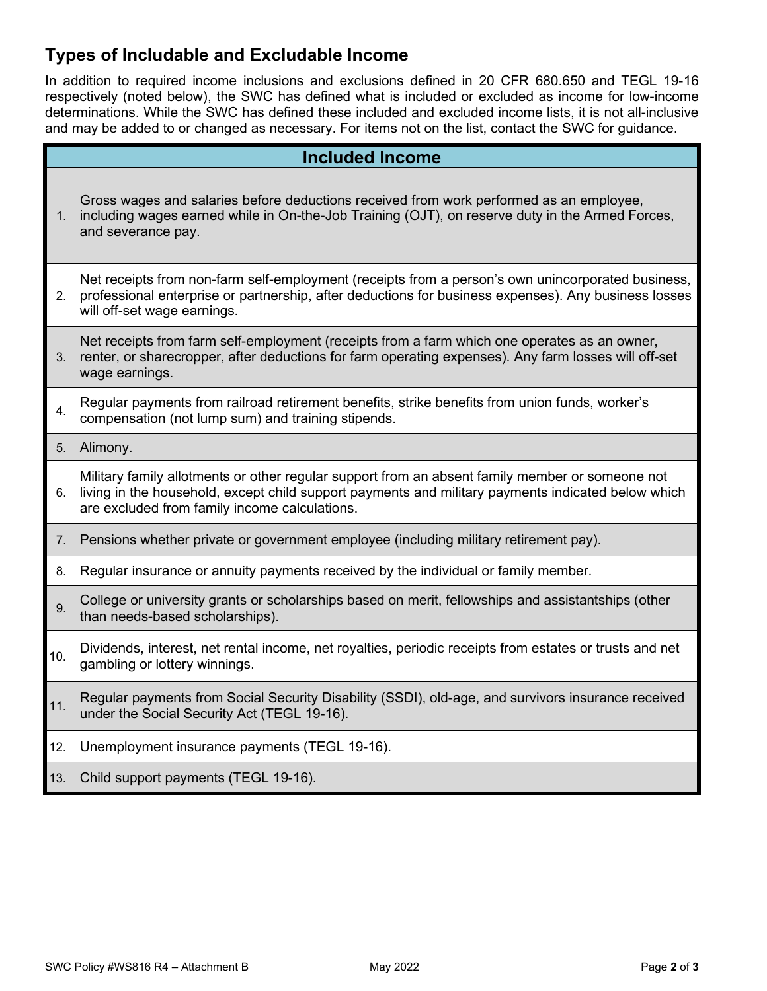## **Types of Includable and Excludable Income**

In addition to required income inclusions and exclusions defined in 20 CFR 680.650 and TEGL 19-16 respectively (noted below), the SWC has defined what is included or excluded as income for low-income determinations. While the SWC has defined these included and excluded income lists, it is not all-inclusive and may be added to or changed as necessary. For items not on the list, contact the SWC for guidance.

|                | <b>Included Income</b>                                                                                                                                                                                                                                 |  |  |
|----------------|--------------------------------------------------------------------------------------------------------------------------------------------------------------------------------------------------------------------------------------------------------|--|--|
| 1.             | Gross wages and salaries before deductions received from work performed as an employee,<br>including wages earned while in On-the-Job Training (OJT), on reserve duty in the Armed Forces,<br>and severance pay.                                       |  |  |
| 2.             | Net receipts from non-farm self-employment (receipts from a person's own unincorporated business,<br>professional enterprise or partnership, after deductions for business expenses). Any business losses<br>will off-set wage earnings.               |  |  |
| 3 <sub>1</sub> | Net receipts from farm self-employment (receipts from a farm which one operates as an owner,<br>renter, or sharecropper, after deductions for farm operating expenses). Any farm losses will off-set<br>wage earnings.                                 |  |  |
| 4.             | Regular payments from railroad retirement benefits, strike benefits from union funds, worker's<br>compensation (not lump sum) and training stipends.                                                                                                   |  |  |
| 5.             | Alimony.                                                                                                                                                                                                                                               |  |  |
| 6.             | Military family allotments or other regular support from an absent family member or someone not<br>living in the household, except child support payments and military payments indicated below which<br>are excluded from family income calculations. |  |  |
| 7.             | Pensions whether private or government employee (including military retirement pay).                                                                                                                                                                   |  |  |
| 8.             | Regular insurance or annuity payments received by the individual or family member.                                                                                                                                                                     |  |  |
| 9.             | College or university grants or scholarships based on merit, fellowships and assistantships (other<br>than needs-based scholarships).                                                                                                                  |  |  |
| 10.            | Dividends, interest, net rental income, net royalties, periodic receipts from estates or trusts and net<br>gambling or lottery winnings.                                                                                                               |  |  |
| 11.            | Regular payments from Social Security Disability (SSDI), old-age, and survivors insurance received<br>under the Social Security Act (TEGL 19-16).                                                                                                      |  |  |
| 12.            | Unemployment insurance payments (TEGL 19-16).                                                                                                                                                                                                          |  |  |
| 13.            | Child support payments (TEGL 19-16).                                                                                                                                                                                                                   |  |  |